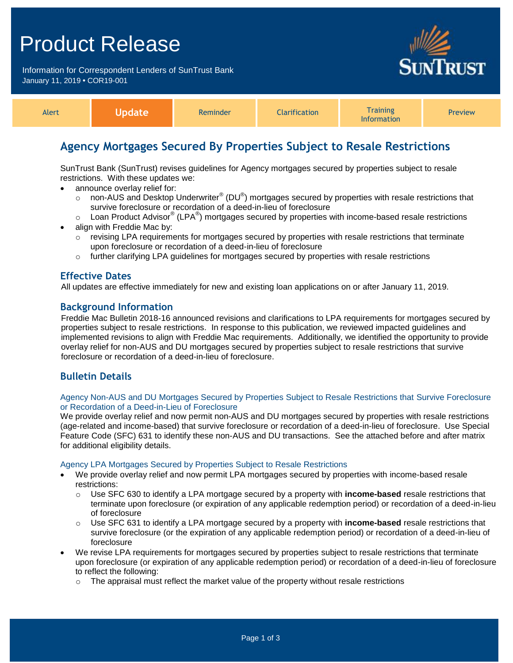## Product Release

Information for Correspondent Lenders of SunTrust Bank January 11, 2019 **•** COR19-001



| Training<br>rification<br>Alert<br>Reminder<br>Preview<br>mation |  |
|------------------------------------------------------------------|--|
|------------------------------------------------------------------|--|

## **Agency Mortgages Secured By Properties Subject to Resale Restrictions**

SunTrust Bank (SunTrust) revises guidelines for Agency mortgages secured by properties subject to resale restrictions. With these updates we:

- announce overlay relief for:
	- o non-AUS and Desktop Underwriter® (DU®) mortgages secured by properties with resale restrictions that survive foreclosure or recordation of a deed-in-lieu of foreclosure
	- $\circ$  Loan Product Advisor® (LPA®) mortgages secured by properties with income-based resale restrictions
- align with Freddie Mac by:
	- $\circ$  revising LPA requirements for mortgages secured by properties with resale restrictions that terminate upon foreclosure or recordation of a deed-in-lieu of foreclosure
	- $\circ$  further clarifying LPA guidelines for mortgages secured by properties with resale restrictions

## **Effective Dates**

All updates are effective immediately for new and existing loan applications on or after January 11, 2019.

## **Background Information**

Freddie Mac Bulletin 2018-16 announced revisions and clarifications to LPA requirements for mortgages secured by properties subject to resale restrictions. In response to this publication, we reviewed impacted guidelines and implemented revisions to align with Freddie Mac requirements. Additionally, we identified the opportunity to provide overlay relief for non-AUS and DU mortgages secured by properties subject to resale restrictions that survive foreclosure or recordation of a deed-in-lieu of foreclosure.

## **Bulletin Details**

### Agency Non-AUS and DU Mortgages Secured by Properties Subject to Resale Restrictions that Survive Foreclosure or Recordation of a Deed-in-Lieu of Foreclosure

We provide overlay relief and now permit non-AUS and DU mortgages secured by properties with resale restrictions (age-related and income-based) that survive foreclosure or recordation of a deed-in-lieu of foreclosure. Use Special Feature Code (SFC) 631 to identify these non-AUS and DU transactions. See the attached before and after matrix for additional eligibility details.

### Agency LPA Mortgages Secured by Properties Subject to Resale Restrictions

- We provide overlay relief and now permit LPA mortgages secured by properties with income-based resale restrictions:
	- o Use SFC 630 to identify a LPA mortgage secured by a property with **income-based** resale restrictions that terminate upon foreclosure (or expiration of any applicable redemption period) or recordation of a deed-in-lieu of foreclosure
	- o Use SFC 631 to identify a LPA mortgage secured by a property with **income-based** resale restrictions that survive foreclosure (or the expiration of any applicable redemption period) or recordation of a deed-in-lieu of foreclosure
- We revise LPA requirements for mortgages secured by properties subject to resale restrictions that terminate upon foreclosure (or expiration of any applicable redemption period) or recordation of a deed-in-lieu of foreclosure to reflect the following:
	- $\circ$  The appraisal must reflect the market value of the property without resale restrictions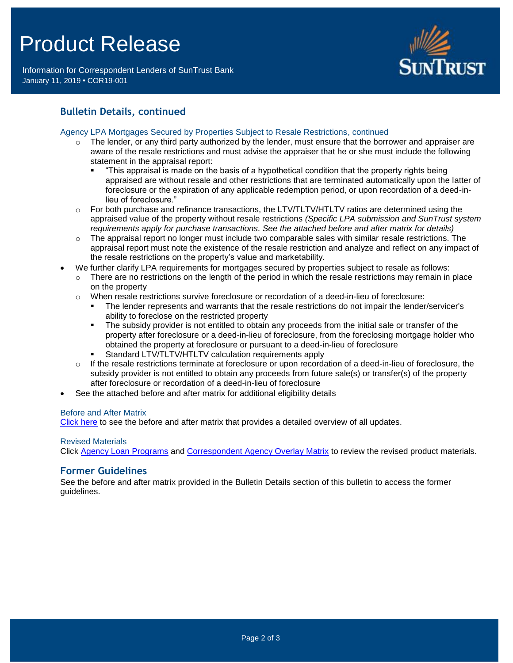# Product Release

Information for Correspondent Lenders of SunTrust Bank January 11, 2019 **•** COR19-001



## **Bulletin Details, continued**

### Agency LPA Mortgages Secured by Properties Subject to Resale Restrictions, continued

- $\circ$  The lender, or any third party authorized by the lender, must ensure that the borrower and appraiser are aware of the resale restrictions and must advise the appraiser that he or she must include the following statement in the appraisal report:
	- "This appraisal is made on the basis of a hypothetical condition that the property rights being appraised are without resale and other restrictions that are terminated automatically upon the latter of foreclosure or the expiration of any applicable redemption period, or upon recordation of a deed-inlieu of foreclosure."
- $\circ$  For both purchase and refinance transactions, the LTV/TLTV/HTLTV ratios are determined using the appraised value of the property without resale restrictions *(Specific LPA submission and SunTrust system requirements apply for purchase transactions. See the attached before and after matrix for details)*
- $\circ$  The appraisal report no longer must include two comparable sales with similar resale restrictions. The appraisal report must note the existence of the resale restriction and analyze and reflect on any impact of the resale restrictions on the property's value and marketability.
- We further clarify LPA requirements for mortgages secured by properties subject to resale as follows:
	- $\circ$  There are no restrictions on the length of the period in which the resale restrictions may remain in place on the property
	- o When resale restrictions survive foreclosure or recordation of a deed-in-lieu of foreclosure:
		- The lender represents and warrants that the resale restrictions do not impair the lender/servicer's ability to foreclose on the restricted property
		- The subsidy provider is not entitled to obtain any proceeds from the initial sale or transfer of the property after foreclosure or a deed-in-lieu of foreclosure, from the foreclosing mortgage holder who obtained the property at foreclosure or pursuant to a deed-in-lieu of foreclosure
		- Standard LTV/TLTV/HTLTV calculation requirements apply
	- $\circ$  If the resale restrictions terminate at foreclosure or upon recordation of a deed-in-lieu of foreclosure, the subsidy provider is not entitled to obtain any proceeds from future sale(s) or transfer(s) of the property after foreclosure or recordation of a deed-in-lieu of foreclosure
- See the attached before and after matrix for additional eligibility details

### Before and After Matrix

[Click here](http://www.truistsellerguide.com/manual/cor/products/Cr19-001BA.pdf) to see the before and after matrix that provides a detailed overview of all updates.

### Revised Materials

Click [Agency Loan Programs](https://www.truistsellerguide.com/manual/cor/products/CAgency.pdf) and [Correspondent Agency Overlay Matrix](https://www.truistsellerguide.com/manual/cor/products/CAgencyCreditOverlays.pdf) to review the revised product materials.

### **Former Guidelines**

See the before and after matrix provided in the Bulletin Details section of this bulletin to access the former guidelines.